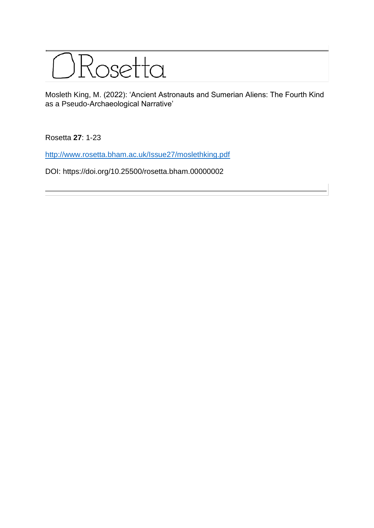

Mosleth King, M. (2022): 'Ancient Astronauts and Sumerian Aliens: The Fourth Kind as a Pseudo-Archaeological Narrative'

Rosetta **27**: 1-23

<http://www.rosetta.bham.ac.uk/Issue27/moslethking.pdf>

DOI: https://doi.org/10.25500/rosetta.bham.00000002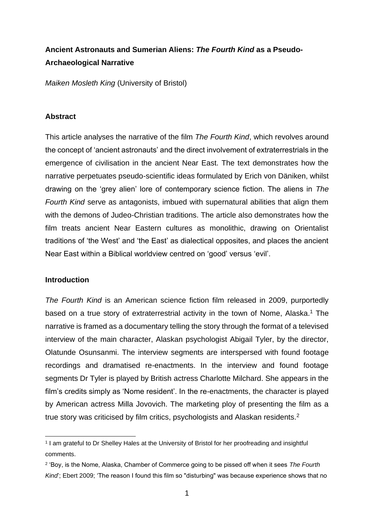# **Ancient Astronauts and Sumerian Aliens:** *The Fourth Kind* **as a Pseudo-Archaeological Narrative**

*Maiken Mosleth King* (University of Bristol)

## **Abstract**

This article analyses the narrative of the film *The Fourth Kind*, which revolves around the concept of 'ancient astronauts' and the direct involvement of extraterrestrials in the emergence of civilisation in the ancient Near East. The text demonstrates how the narrative perpetuates pseudo-scientific ideas formulated by Erich von Däniken, whilst drawing on the 'grey alien' lore of contemporary science fiction. The aliens in *The Fourth Kind* serve as antagonists, imbued with supernatural abilities that align them with the demons of Judeo-Christian traditions. The article also demonstrates how the film treats ancient Near Eastern cultures as monolithic, drawing on Orientalist traditions of 'the West' and 'the East' as dialectical opposites, and places the ancient Near East within a Biblical worldview centred on 'good' versus 'evil'.

#### **Introduction**

*The Fourth Kind* is an American science fiction film released in 2009, purportedly based on a true story of extraterrestrial activity in the town of Nome, Alaska.<sup>1</sup> The narrative is framed as a documentary telling the story through the format of a televised interview of the main character, Alaskan psychologist Abigail Tyler, by the director, Olatunde Osunsanmi. The interview segments are interspersed with found footage recordings and dramatised re-enactments. In the interview and found footage segments Dr Tyler is played by British actress Charlotte Milchard. She appears in the film's credits simply as 'Nome resident'. In the re-enactments, the character is played by American actress Milla Jovovich. The marketing ploy of presenting the film as a true story was criticised by film critics, psychologists and Alaskan residents.<sup>2</sup>

<sup>1</sup> I am grateful to Dr Shelley Hales at the University of Bristol for her proofreading and insightful comments.

<sup>2</sup> 'Boy, is the Nome, Alaska, Chamber of Commerce going to be pissed off when it sees *The Fourth Kind*'; Ebert 2009; 'The reason I found this film so "disturbing" was because experience shows that no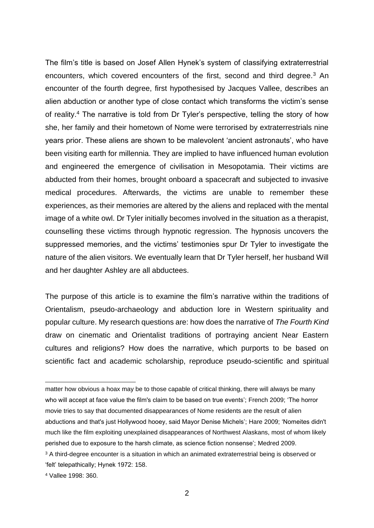The film's title is based on Josef Allen Hynek's system of classifying extraterrestrial encounters, which covered encounters of the first, second and third degree.<sup>3</sup> An encounter of the fourth degree, first hypothesised by Jacques Vallee, describes an alien abduction or another type of close contact which transforms the victim's sense of reality.<sup>4</sup> The narrative is told from Dr Tyler's perspective, telling the story of how she, her family and their hometown of Nome were terrorised by extraterrestrials nine years prior. These aliens are shown to be malevolent 'ancient astronauts', who have been visiting earth for millennia. They are implied to have influenced human evolution and engineered the emergence of civilisation in Mesopotamia. Their victims are abducted from their homes, brought onboard a spacecraft and subjected to invasive medical procedures. Afterwards, the victims are unable to remember these experiences, as their memories are altered by the aliens and replaced with the mental image of a white owl. Dr Tyler initially becomes involved in the situation as a therapist, counselling these victims through hypnotic regression. The hypnosis uncovers the suppressed memories, and the victims' testimonies spur Dr Tyler to investigate the nature of the alien visitors. We eventually learn that Dr Tyler herself, her husband Will and her daughter Ashley are all abductees.

The purpose of this article is to examine the film's narrative within the traditions of Orientalism, pseudo-archaeology and abduction lore in Western spirituality and popular culture. My research questions are: how does the narrative of *The Fourth Kind* draw on cinematic and Orientalist traditions of portraying ancient Near Eastern cultures and religions? How does the narrative, which purports to be based on scientific fact and academic scholarship, reproduce pseudo-scientific and spiritual

'felt' telepathically; Hynek 1972: 158.

matter how obvious a hoax may be to those capable of critical thinking, there will always be many who will accept at face value the film's claim to be based on true events'; French 2009; 'The horror movie tries to say that documented disappearances of Nome residents are the result of alien abductions and that's just Hollywood hooey, said Mayor Denise Michels'; Hare 2009; 'Nomeites didn't much like the film exploiting unexplained disappearances of Northwest Alaskans, most of whom likely perished due to exposure to the harsh climate, as science fiction nonsense'; Medred 2009. <sup>3</sup> A third-degree encounter is a situation in which an animated extraterrestrial being is observed or

<sup>4</sup> Vallee 1998: 360.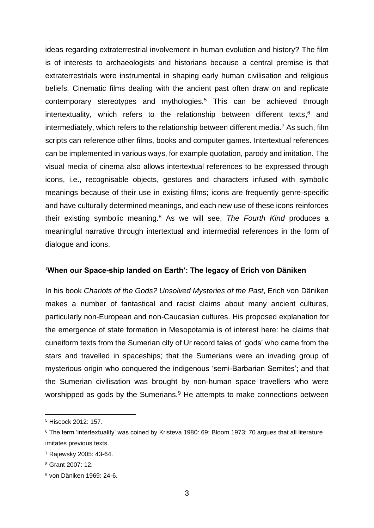ideas regarding extraterrestrial involvement in human evolution and history? The film is of interests to archaeologists and historians because a central premise is that extraterrestrials were instrumental in shaping early human civilisation and religious beliefs. Cinematic films dealing with the ancient past often draw on and replicate contemporary stereotypes and mythologies.<sup>5</sup> This can be achieved through intertextuality, which refers to the relationship between different texts, <sup>6</sup> and intermediately, which refers to the relationship between different media.<sup>7</sup> As such, film scripts can reference other films, books and computer games. Intertextual references can be implemented in various ways, for example quotation, parody and imitation. The visual media of cinema also allows intertextual references to be expressed through icons, i.e., recognisable objects, gestures and characters infused with symbolic meanings because of their use in existing films; icons are frequently genre-specific and have culturally determined meanings, and each new use of these icons reinforces their existing symbolic meaning.<sup>8</sup> As we will see, *The Fourth Kind* produces a meaningful narrative through intertextual and intermedial references in the form of dialogue and icons.

#### **'When our Space-ship landed on Earth': The legacy of Erich von Däniken**

In his book *Chariots of the Gods? Unsolved Mysteries of the Past*, Erich von Däniken makes a number of fantastical and racist claims about many ancient cultures, particularly non-European and non-Caucasian cultures. His proposed explanation for the emergence of state formation in Mesopotamia is of interest here: he claims that cuneiform texts from the Sumerian city of Ur record tales of 'gods' who came from the stars and travelled in spaceships; that the Sumerians were an invading group of mysterious origin who conquered the indigenous 'semi-Barbarian Semites'; and that the Sumerian civilisation was brought by non-human space travellers who were worshipped as gods by the Sumerians.<sup>9</sup> He attempts to make connections between

<sup>5</sup> Hiscock 2012: 157.

<sup>6</sup> The term 'intertextuality' was coined by Kristeva 1980: 69; Bloom 1973: 70 argues that all literature imitates previous texts.

<sup>7</sup> Rajewsky 2005: 43-64.

<sup>8</sup> Grant 2007: 12.

<sup>9</sup> von Däniken 1969: 24-6.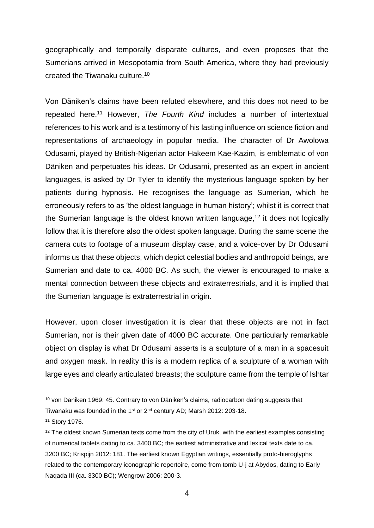geographically and temporally disparate cultures, and even proposes that the Sumerians arrived in Mesopotamia from South America, where they had previously created the Tiwanaku culture.<sup>10</sup>

Von Däniken's claims have been refuted elsewhere, and this does not need to be repeated here.<sup>11</sup> However, *The Fourth Kind* includes a number of intertextual references to his work and is a testimony of his lasting influence on science fiction and representations of archaeology in popular media. The character of Dr Awolowa Odusami, played by British-Nigerian actor Hakeem Kae-Kazim, is emblematic of von Däniken and perpetuates his ideas. Dr Odusami, presented as an expert in ancient languages, is asked by Dr Tyler to identify the mysterious language spoken by her patients during hypnosis. He recognises the language as Sumerian, which he erroneously refers to as 'the oldest language in human history'; whilst it is correct that the Sumerian language is the oldest known written language,<sup>12</sup> it does not logically follow that it is therefore also the oldest spoken language. During the same scene the camera cuts to footage of a museum display case, and a voice-over by Dr Odusami informs us that these objects, which depict celestial bodies and anthropoid beings, are Sumerian and date to ca. 4000 BC. As such, the viewer is encouraged to make a mental connection between these objects and extraterrestrials, and it is implied that the Sumerian language is extraterrestrial in origin.

However, upon closer investigation it is clear that these objects are not in fact Sumerian, nor is their given date of 4000 BC accurate. One particularly remarkable object on display is what Dr Odusami asserts is a sculpture of a man in a spacesuit and oxygen mask. In reality this is a modern replica of a sculpture of a woman with large eyes and clearly articulated breasts; the sculpture came from the temple of Ishtar

<sup>&</sup>lt;sup>10</sup> von Däniken 1969: 45. Contrary to von Däniken's claims, radiocarbon dating suggests that Tiwanaku was founded in the 1<sup>st</sup> or 2<sup>nd</sup> century AD; Marsh 2012: 203-18.

<sup>11</sup> Story 1976.

<sup>&</sup>lt;sup>12</sup> The oldest known Sumerian texts come from the city of Uruk, with the earliest examples consisting of numerical tablets dating to ca. 3400 BC; the earliest administrative and lexical texts date to ca. 3200 BC; Krispijn 2012: 181. The earliest known Egyptian writings, essentially proto-hieroglyphs related to the contemporary iconographic repertoire, come from tomb U-j at Abydos, dating to Early Naqada III (ca. 3300 BC); Wengrow 2006: 200-3.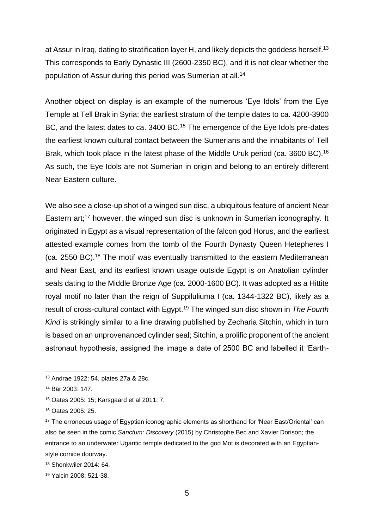at Assur in Iraq, dating to stratification layer H, and likely depicts the goddess herself.<sup>13</sup> This corresponds to Early Dynastic III (2600-2350 BC), and it is not clear whether the population of Assur during this period was Sumerian at all.<sup>14</sup>

Another object on display is an example of the numerous 'Eye Idols' from the Eye Temple at Tell Brak in Syria; the earliest stratum of the temple dates to ca. 4200-3900 BC, and the latest dates to ca. 3400 BC.<sup>15</sup> The emergence of the Eye Idols pre-dates the earliest known cultural contact between the Sumerians and the inhabitants of Tell Brak, which took place in the latest phase of the Middle Uruk period (ca. 3600 BC).<sup>16</sup> As such, the Eye Idols are not Sumerian in origin and belong to an entirely different Near Eastern culture.

We also see a close-up shot of a winged sun disc, a ubiquitous feature of ancient Near Eastern art;<sup>17</sup> however, the winged sun disc is unknown in Sumerian iconography. It originated in Egypt as a visual representation of the falcon god Horus, and the earliest attested example comes from the tomb of the Fourth Dynasty Queen Hetepheres I (ca. 2550 BC).<sup>18</sup> The motif was eventually transmitted to the eastern Mediterranean and Near East, and its earliest known usage outside Egypt is on Anatolian cylinder seals dating to the Middle Bronze Age (ca. 2000-1600 BC). It was adopted as a Hittite royal motif no later than the reign of Suppiluliuma I (ca. 1344-1322 BC), likely as a result of cross-cultural contact with Egypt.<sup>19</sup> The winged sun disc shown in *The Fourth Kind* is strikingly similar to a line drawing published by Zecharia Sitchin, which in turn is based on an unprovenanced cylinder seal; Sitchin, a prolific proponent of the ancient astronaut hypothesis, assigned the image a date of 2500 BC and labelled it 'Earth-

<sup>13</sup> Andrae 1922: 54, plates 27a & 28c.

<sup>14</sup> Bär 2003: 147.

<sup>15</sup> Oates 2005: 15; Karsgaard et al 2011: 7.

<sup>16</sup> Oates 2005: 25.

<sup>&</sup>lt;sup>17</sup> The erroneous usage of Egyptian iconographic elements as shorthand for 'Near East/Oriental' can also be seen in the comic *Sanctum: Discovery* (2015) by Christophe Bec and Xavier Dorison; the entrance to an underwater Ugaritic temple dedicated to the god Mot is decorated with an Egyptianstyle cornice doorway.

<sup>18</sup> Shonkwiler 2014: 64.

<sup>19</sup> Yalcin 2008: 521-38.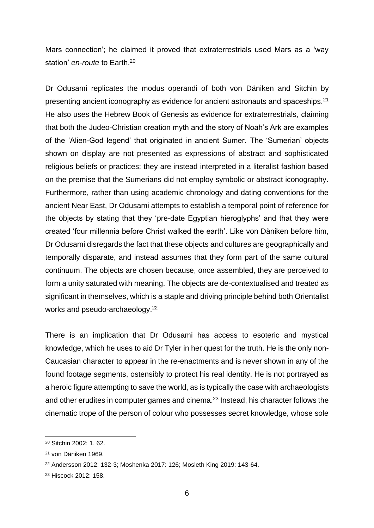Mars connection'; he claimed it proved that extraterrestrials used Mars as a 'way station' *en-route* to Earth.<sup>20</sup>

Dr Odusami replicates the modus operandi of both von Däniken and Sitchin by presenting ancient iconography as evidence for ancient astronauts and spaceships.<sup>21</sup> He also uses the Hebrew Book of Genesis as evidence for extraterrestrials, claiming that both the Judeo-Christian creation myth and the story of Noah's Ark are examples of the 'Alien-God legend' that originated in ancient Sumer. The 'Sumerian' objects shown on display are not presented as expressions of abstract and sophisticated religious beliefs or practices; they are instead interpreted in a literalist fashion based on the premise that the Sumerians did not employ symbolic or abstract iconography. Furthermore, rather than using academic chronology and dating conventions for the ancient Near East, Dr Odusami attempts to establish a temporal point of reference for the objects by stating that they 'pre-date Egyptian hieroglyphs' and that they were created 'four millennia before Christ walked the earth'. Like von Däniken before him, Dr Odusami disregards the fact that these objects and cultures are geographically and temporally disparate, and instead assumes that they form part of the same cultural continuum. The objects are chosen because, once assembled, they are perceived to form a unity saturated with meaning. The objects are de-contextualised and treated as significant in themselves, which is a staple and driving principle behind both Orientalist works and pseudo-archaeology.<sup>22</sup>

There is an implication that Dr Odusami has access to esoteric and mystical knowledge, which he uses to aid Dr Tyler in her quest for the truth. He is the only non-Caucasian character to appear in the re-enactments and is never shown in any of the found footage segments, ostensibly to protect his real identity. He is not portrayed as a heroic figure attempting to save the world, as is typically the case with archaeologists and other erudites in computer games and cinema.<sup>23</sup> Instead, his character follows the cinematic trope of the person of colour who possesses secret knowledge, whose sole

<sup>20</sup> Sitchin 2002: 1, 62.

<sup>21</sup> von Däniken 1969.

<sup>22</sup> Andersson 2012: 132-3; Moshenka 2017: 126; Mosleth King 2019: 143-64.

<sup>23</sup> Hiscock 2012: 158.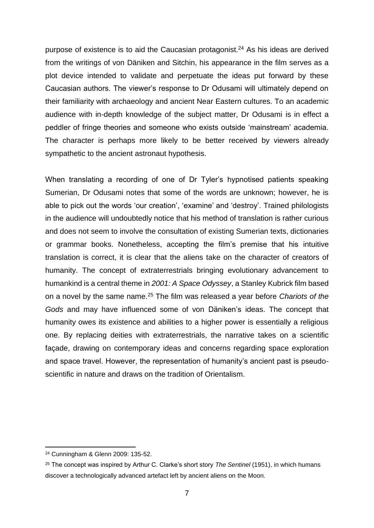purpose of existence is to aid the Caucasian protagonist.<sup>24</sup> As his ideas are derived from the writings of von Däniken and Sitchin, his appearance in the film serves as a plot device intended to validate and perpetuate the ideas put forward by these Caucasian authors. The viewer's response to Dr Odusami will ultimately depend on their familiarity with archaeology and ancient Near Eastern cultures. To an academic audience with in-depth knowledge of the subject matter, Dr Odusami is in effect a peddler of fringe theories and someone who exists outside 'mainstream' academia. The character is perhaps more likely to be better received by viewers already sympathetic to the ancient astronaut hypothesis.

When translating a recording of one of Dr Tyler's hypnotised patients speaking Sumerian, Dr Odusami notes that some of the words are unknown; however, he is able to pick out the words 'our creation', 'examine' and 'destroy'. Trained philologists in the audience will undoubtedly notice that his method of translation is rather curious and does not seem to involve the consultation of existing Sumerian texts, dictionaries or grammar books. Nonetheless, accepting the film's premise that his intuitive translation is correct, it is clear that the aliens take on the character of creators of humanity. The concept of extraterrestrials bringing evolutionary advancement to humankind is a central theme in *2001: A Space Odyssey*, a Stanley Kubrick film based on a novel by the same name.<sup>25</sup> The film was released a year before *Chariots of the Gods* and may have influenced some of von Däniken's ideas. The concept that humanity owes its existence and abilities to a higher power is essentially a religious one. By replacing deities with extraterrestrials, the narrative takes on a scientific façade, drawing on contemporary ideas and concerns regarding space exploration and space travel. However, the representation of humanity's ancient past is pseudoscientific in nature and draws on the tradition of Orientalism.

<sup>24</sup> Cunningham & Glenn 2009: 135-52.

<sup>25</sup> The concept was inspired by Arthur C. Clarke's short story *The Sentinel* (1951), in which humans discover a technologically advanced artefact left by ancient aliens on the Moon.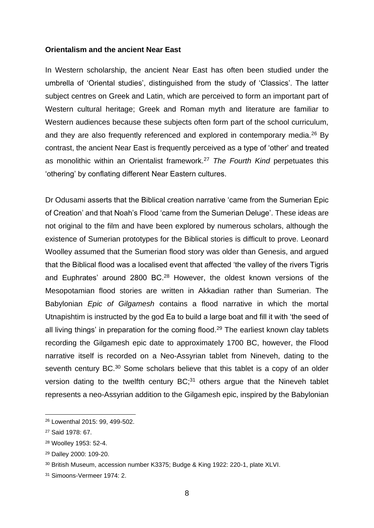#### **Orientalism and the ancient Near East**

In Western scholarship, the ancient Near East has often been studied under the umbrella of 'Oriental studies', distinguished from the study of 'Classics'. The latter subject centres on Greek and Latin, which are perceived to form an important part of Western cultural heritage; Greek and Roman myth and literature are familiar to Western audiences because these subjects often form part of the school curriculum, and they are also frequently referenced and explored in contemporary media.<sup>26</sup> By contrast, the ancient Near East is frequently perceived as a type of 'other' and treated as monolithic within an Orientalist framework.<sup>27</sup> *The Fourth Kind* perpetuates this 'othering' by conflating different Near Eastern cultures.

Dr Odusami asserts that the Biblical creation narrative 'came from the Sumerian Epic of Creation' and that Noah's Flood 'came from the Sumerian Deluge'. These ideas are not original to the film and have been explored by numerous scholars, although the existence of Sumerian prototypes for the Biblical stories is difficult to prove. Leonard Woolley assumed that the Sumerian flood story was older than Genesis, and argued that the Biblical flood was a localised event that affected 'the valley of the rivers Tigris and Euphrates' around 2800 BC.<sup>28</sup> However, the oldest known versions of the Mesopotamian flood stories are written in Akkadian rather than Sumerian. The Babylonian *Epic of Gilgamesh* contains a flood narrative in which the mortal Utnapishtim is instructed by the god Ea to build a large boat and fill it with 'the seed of all living things' in preparation for the coming flood.<sup>29</sup> The earliest known clay tablets recording the Gilgamesh epic date to approximately 1700 BC, however, the Flood narrative itself is recorded on a Neo-Assyrian tablet from Nineveh, dating to the seventh century BC.<sup>30</sup> Some scholars believe that this tablet is a copy of an older version dating to the twelfth century  $BC<sub>i</sub><sup>31</sup>$  others argue that the Nineveh tablet represents a neo-Assyrian addition to the Gilgamesh epic, inspired by the Babylonian

<sup>26</sup> Lowenthal 2015: 99, 499-502.

<sup>27</sup> Said 1978: 67.

<sup>28</sup> Woolley 1953: 52-4.

<sup>29</sup> Dalley 2000: 109-20.

<sup>30</sup> British Museum, accession number K3375; Budge & King 1922: 220-1, plate XLVI.

<sup>31</sup> Simoons-Vermeer 1974: 2.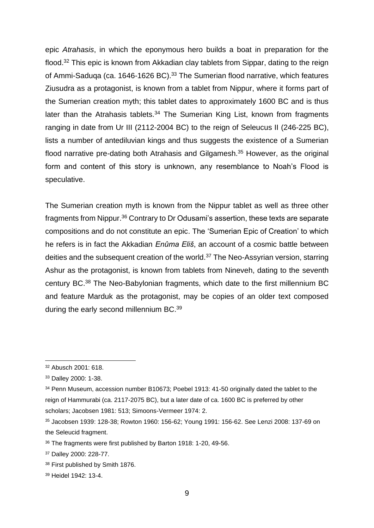epic *Atrahasis*, in which the eponymous hero builds a boat in preparation for the flood.<sup>32</sup> This epic is known from Akkadian clay tablets from Sippar, dating to the reign of Ammi-Saduqa (ca. 1646-1626 BC).<sup>33</sup> The Sumerian flood narrative, which features Ziusudra as a protagonist, is known from a tablet from Nippur, where it forms part of the Sumerian creation myth; this tablet dates to approximately 1600 BC and is thus later than the Atrahasis tablets. $34$  The Sumerian King List, known from fragments ranging in date from Ur III (2112-2004 BC) to the reign of Seleucus II (246-225 BC), lists a number of antediluvian kings and thus suggests the existence of a Sumerian flood narrative pre-dating both Atrahasis and Gilgamesh.<sup>35</sup> However, as the original form and content of this story is unknown, any resemblance to Noah's Flood is speculative.

The Sumerian creation myth is known from the Nippur tablet as well as three other fragments from Nippur.<sup>36</sup> Contrary to Dr Odusami's assertion, these texts are separate compositions and do not constitute an epic. The 'Sumerian Epic of Creation' to which he refers is in fact the Akkadian *Enûma Eliš*, an account of a cosmic battle between deities and the subsequent creation of the world.<sup>37</sup> The Neo-Assyrian version, starring Ashur as the protagonist, is known from tablets from Nineveh, dating to the seventh century BC.<sup>38</sup> The Neo-Babylonian fragments, which date to the first millennium BC and feature Marduk as the protagonist, may be copies of an older text composed during the early second millennium BC.<sup>39</sup>

<sup>32</sup> Abusch 2001: 618.

<sup>33</sup> Dalley 2000: 1-38.

<sup>&</sup>lt;sup>34</sup> Penn Museum, accession number B10673; Poebel 1913: 41-50 originally dated the tablet to the reign of Hammurabi (ca. 2117-2075 BC), but a later date of ca. 1600 BC is preferred by other scholars; Jacobsen 1981: 513; Simoons-Vermeer 1974: 2.

<sup>35</sup> Jacobsen 1939: 128-38; Rowton 1960: 156-62; Young 1991: 156-62. See Lenzi 2008: 137-69 on the Seleucid fragment.

<sup>36</sup> The fragments were first published by Barton 1918: 1-20, 49-56.

<sup>37</sup> Dalley 2000: 228-77.

<sup>&</sup>lt;sup>38</sup> First published by Smith 1876.

<sup>39</sup> Heidel 1942: 13-4.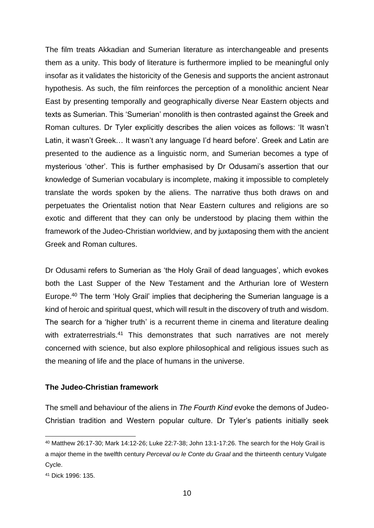The film treats Akkadian and Sumerian literature as interchangeable and presents them as a unity. This body of literature is furthermore implied to be meaningful only insofar as it validates the historicity of the Genesis and supports the ancient astronaut hypothesis. As such, the film reinforces the perception of a monolithic ancient Near East by presenting temporally and geographically diverse Near Eastern objects and texts as Sumerian. This 'Sumerian' monolith is then contrasted against the Greek and Roman cultures. Dr Tyler explicitly describes the alien voices as follows: 'It wasn't Latin, it wasn't Greek… It wasn't any language I'd heard before'. Greek and Latin are presented to the audience as a linguistic norm, and Sumerian becomes a type of mysterious 'other'. This is further emphasised by Dr Odusami's assertion that our knowledge of Sumerian vocabulary is incomplete, making it impossible to completely translate the words spoken by the aliens. The narrative thus both draws on and perpetuates the Orientalist notion that Near Eastern cultures and religions are so exotic and different that they can only be understood by placing them within the framework of the Judeo-Christian worldview, and by juxtaposing them with the ancient Greek and Roman cultures.

Dr Odusami refers to Sumerian as 'the Holy Grail of dead languages', which evokes both the Last Supper of the New Testament and the Arthurian lore of Western Europe.<sup>40</sup> The term 'Holy Grail' implies that deciphering the Sumerian language is a kind of heroic and spiritual quest, which will result in the discovery of truth and wisdom. The search for a 'higher truth' is a recurrent theme in cinema and literature dealing with extraterrestrials.<sup>41</sup> This demonstrates that such narratives are not merely concerned with science, but also explore philosophical and religious issues such as the meaning of life and the place of humans in the universe.

#### **The Judeo-Christian framework**

The smell and behaviour of the aliens in *The Fourth Kind* evoke the demons of Judeo-Christian tradition and Western popular culture. Dr Tyler's patients initially seek

<sup>40</sup> Matthew 26:17-30; Mark 14:12-26; Luke 22:7-38; John 13:1-17:26. The search for the Holy Grail is a major theme in the twelfth century *Perceval ou le Conte du Graal* and the thirteenth century Vulgate Cycle.

<sup>41</sup> Dick 1996: 135.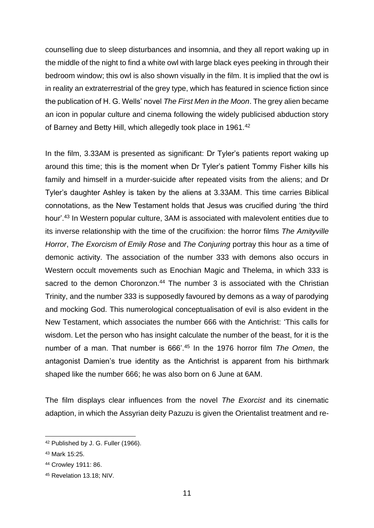counselling due to sleep disturbances and insomnia, and they all report waking up in the middle of the night to find a white owl with large black eyes peeking in through their bedroom window; this owl is also shown visually in the film. It is implied that the owl is in reality an extraterrestrial of the grey type, which has featured in science fiction since the publication of H. G. Wells' novel *The First Men in the Moon*. The grey alien became an icon in popular culture and cinema following the widely publicised abduction story of Barney and Betty Hill, which allegedly took place in 1961.<sup>42</sup>

In the film, 3.33AM is presented as significant: Dr Tyler's patients report waking up around this time; this is the moment when Dr Tyler's patient Tommy Fisher kills his family and himself in a murder-suicide after repeated visits from the aliens; and Dr Tyler's daughter Ashley is taken by the aliens at 3.33AM. This time carries Biblical connotations, as the New Testament holds that Jesus was crucified during 'the third hour'.<sup>43</sup> In Western popular culture, 3AM is associated with malevolent entities due to its inverse relationship with the time of the crucifixion: the horror films *The Amityville Horror*, *The Exorcism of Emily Rose* and *The Conjuring* portray this hour as a time of demonic activity. The association of the number 333 with demons also occurs in Western occult movements such as Enochian Magic and Thelema, in which 333 is sacred to the demon Choronzon.<sup>44</sup> The number 3 is associated with the Christian Trinity, and the number 333 is supposedly favoured by demons as a way of parodying and mocking God. This numerological conceptualisation of evil is also evident in the New Testament, which associates the number 666 with the Antichrist: 'This calls for wisdom. Let the person who has insight calculate the number of the beast, for it is the number of a man. That number is 666'.<sup>45</sup> In the 1976 horror film *The Omen*, the antagonist Damien's true identity as the Antichrist is apparent from his birthmark shaped like the number 666; he was also born on 6 June at 6AM.

The film displays clear influences from the novel *The Exorcist* and its cinematic adaption, in which the Assyrian deity Pazuzu is given the Orientalist treatment and re-

<sup>42</sup> Published by J. G. Fuller (1966).

<sup>43</sup> Mark 15:25.

<sup>44</sup> Crowley 1911: 86.

<sup>45</sup> Revelation 13.18; NIV.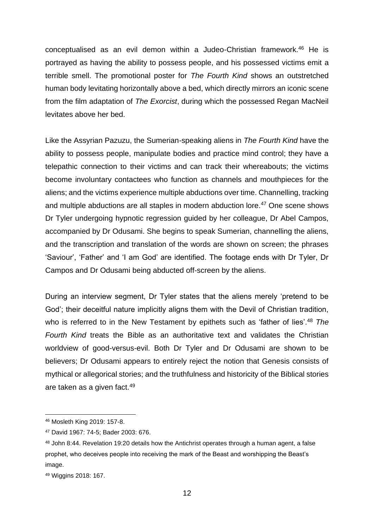conceptualised as an evil demon within a Judeo-Christian framework.<sup>46</sup> He is portrayed as having the ability to possess people, and his possessed victims emit a terrible smell. The promotional poster for *The Fourth Kind* shows an outstretched human body levitating horizontally above a bed, which directly mirrors an iconic scene from the film adaptation of *The Exorcist*, during which the possessed Regan MacNeil levitates above her bed.

Like the Assyrian Pazuzu, the Sumerian-speaking aliens in *The Fourth Kind* have the ability to possess people, manipulate bodies and practice mind control; they have a telepathic connection to their victims and can track their whereabouts; the victims become involuntary contactees who function as channels and mouthpieces for the aliens; and the victims experience multiple abductions over time. Channelling, tracking and multiple abductions are all staples in modern abduction lore.<sup>47</sup> One scene shows Dr Tyler undergoing hypnotic regression guided by her colleague, Dr Abel Campos, accompanied by Dr Odusami. She begins to speak Sumerian, channelling the aliens, and the transcription and translation of the words are shown on screen; the phrases 'Saviour', 'Father' and 'I am God' are identified. The footage ends with Dr Tyler, Dr Campos and Dr Odusami being abducted off-screen by the aliens.

During an interview segment, Dr Tyler states that the aliens merely 'pretend to be God'; their deceitful nature implicitly aligns them with the Devil of Christian tradition, who is referred to in the New Testament by epithets such as 'father of lies'.<sup>48</sup> *The Fourth Kind* treats the Bible as an authoritative text and validates the Christian worldview of good-versus-evil. Both Dr Tyler and Dr Odusami are shown to be believers; Dr Odusami appears to entirely reject the notion that Genesis consists of mythical or allegorical stories; and the truthfulness and historicity of the Biblical stories are taken as a given fact.<sup>49</sup>

<sup>46</sup> Mosleth King 2019: 157-8.

<sup>47</sup> David 1967: 74-5; Bader 2003: 676.

<sup>48</sup> John 8:44. Revelation 19:20 details how the Antichrist operates through a human agent, a false prophet, who deceives people into receiving the mark of the Beast and worshipping the Beast's image.

<sup>49</sup> Wiggins 2018: 167.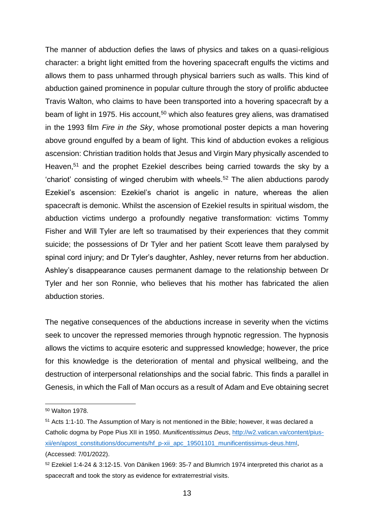The manner of abduction defies the laws of physics and takes on a quasi-religious character: a bright light emitted from the hovering spacecraft engulfs the victims and allows them to pass unharmed through physical barriers such as walls. This kind of abduction gained prominence in popular culture through the story of prolific abductee Travis Walton, who claims to have been transported into a hovering spacecraft by a beam of light in 1975. His account,<sup>50</sup> which also features grey aliens, was dramatised in the 1993 film *Fire in the Sky*, whose promotional poster depicts a man hovering above ground engulfed by a beam of light. This kind of abduction evokes a religious ascension: Christian tradition holds that Jesus and Virgin Mary physically ascended to Heaven,<sup>51</sup> and the prophet Ezekiel describes being carried towards the sky by a 'chariot' consisting of winged cherubim with wheels.<sup>52</sup> The alien abductions parody Ezekiel's ascension: Ezekiel's chariot is angelic in nature, whereas the alien spacecraft is demonic. Whilst the ascension of Ezekiel results in spiritual wisdom, the abduction victims undergo a profoundly negative transformation: victims Tommy Fisher and Will Tyler are left so traumatised by their experiences that they commit suicide; the possessions of Dr Tyler and her patient Scott leave them paralysed by spinal cord injury; and Dr Tyler's daughter, Ashley, never returns from her abduction. Ashley's disappearance causes permanent damage to the relationship between Dr Tyler and her son Ronnie, who believes that his mother has fabricated the alien abduction stories.

The negative consequences of the abductions increase in severity when the victims seek to uncover the repressed memories through hypnotic regression. The hypnosis allows the victims to acquire esoteric and suppressed knowledge; however, the price for this knowledge is the deterioration of mental and physical wellbeing, and the destruction of interpersonal relationships and the social fabric. This finds a parallel in Genesis, in which the Fall of Man occurs as a result of Adam and Eve obtaining secret

<sup>50</sup> Walton 1978.

<sup>51</sup> Acts 1:1-10. The Assumption of Mary is not mentioned in the Bible; however, it was declared a Catholic dogma by Pope Pius XII in 1950. *Munificentissimus Deus*, [http://w2.vatican.va/content/pius](about:blank)[xii/en/apost\\_constitutions/documents/hf\\_p-xii\\_apc\\_19501101\\_munificentissimus-deus.html,](about:blank) (Accessed: 7/01/2022).

<sup>52</sup> Ezekiel 1:4-24 & 3:12-15. Von Däniken 1969: 35-7 and Blumrich 1974 interpreted this chariot as a spacecraft and took the story as evidence for extraterrestrial visits.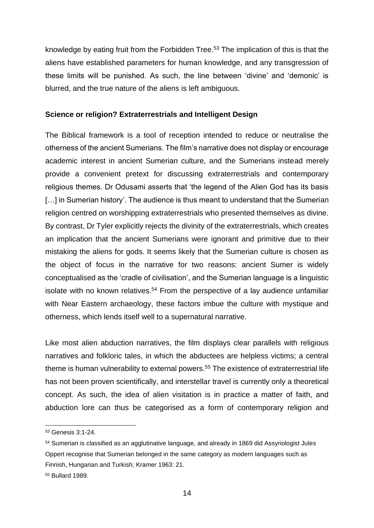knowledge by eating fruit from the Forbidden Tree.<sup>53</sup> The implication of this is that the aliens have established parameters for human knowledge, and any transgression of these limits will be punished. As such, the line between 'divine' and 'demonic' is blurred, and the true nature of the aliens is left ambiguous.

### **Science or religion? Extraterrestrials and Intelligent Design**

The Biblical framework is a tool of reception intended to reduce or neutralise the otherness of the ancient Sumerians. The film's narrative does not display or encourage academic interest in ancient Sumerian culture, and the Sumerians instead merely provide a convenient pretext for discussing extraterrestrials and contemporary religious themes. Dr Odusami asserts that 'the legend of the Alien God has its basis [...] in Sumerian history'. The audience is thus meant to understand that the Sumerian religion centred on worshipping extraterrestrials who presented themselves as divine. By contrast, Dr Tyler explicitly rejects the divinity of the extraterrestrials, which creates an implication that the ancient Sumerians were ignorant and primitive due to their mistaking the aliens for gods. It seems likely that the Sumerian culture is chosen as the object of focus in the narrative for two reasons: ancient Sumer is widely conceptualised as the 'cradle of civilisation', and the Sumerian language is a linguistic isolate with no known relatives.<sup>54</sup> From the perspective of a lay audience unfamiliar with Near Eastern archaeology, these factors imbue the culture with mystique and otherness, which lends itself well to a supernatural narrative.

Like most alien abduction narratives, the film displays clear parallels with religious narratives and folkloric tales, in which the abductees are helpless victims; a central theme is human vulnerability to external powers.<sup>55</sup> The existence of extraterrestrial life has not been proven scientifically, and interstellar travel is currently only a theoretical concept. As such, the idea of alien visitation is in practice a matter of faith, and abduction lore can thus be categorised as a form of contemporary religion and

<sup>53</sup> Genesis 3:1-24.

<sup>54</sup> Sumerian is classified as an agglutinative language, and already in 1869 did Assyriologist Jules Oppert recognise that Sumerian belonged in the same category as modern languages such as Finnish, Hungarian and Turkish; Kramer 1963: 21.

<sup>55</sup> Bullard 1989.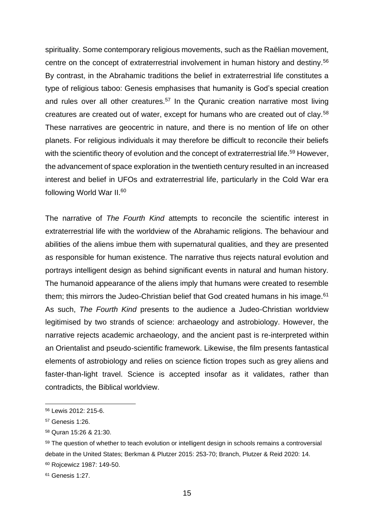spirituality. Some contemporary religious movements, such as the Raëlian movement, centre on the concept of extraterrestrial involvement in human history and destiny.<sup>56</sup> By contrast, in the Abrahamic traditions the belief in extraterrestrial life constitutes a type of religious taboo: Genesis emphasises that humanity is God's special creation and rules over all other creatures.<sup>57</sup> In the Quranic creation narrative most living creatures are created out of water, except for humans who are created out of clay.<sup>58</sup> These narratives are geocentric in nature, and there is no mention of life on other planets. For religious individuals it may therefore be difficult to reconcile their beliefs with the scientific theory of evolution and the concept of extraterrestrial life.<sup>59</sup> However, the advancement of space exploration in the twentieth century resulted in an increased interest and belief in UFOs and extraterrestrial life, particularly in the Cold War era following World War II.<sup>60</sup>

The narrative of *The Fourth Kind* attempts to reconcile the scientific interest in extraterrestrial life with the worldview of the Abrahamic religions. The behaviour and abilities of the aliens imbue them with supernatural qualities, and they are presented as responsible for human existence. The narrative thus rejects natural evolution and portrays intelligent design as behind significant events in natural and human history. The humanoid appearance of the aliens imply that humans were created to resemble them; this mirrors the Judeo-Christian belief that God created humans in his image.<sup>61</sup> As such, *The Fourth Kind* presents to the audience a Judeo-Christian worldview legitimised by two strands of science: archaeology and astrobiology. However, the narrative rejects academic archaeology, and the ancient past is re-interpreted within an Orientalist and pseudo-scientific framework. Likewise, the film presents fantastical elements of astrobiology and relies on science fiction tropes such as grey aliens and faster-than-light travel. Science is accepted insofar as it validates, rather than contradicts, the Biblical worldview.

<sup>56</sup> Lewis 2012: 215-6.

<sup>57</sup> Genesis 1:26.

<sup>58</sup> Quran 15:26 & 21:30.

<sup>59</sup> The question of whether to teach evolution or intelligent design in schools remains a controversial debate in the United States; Berkman & Plutzer 2015: 253-70; Branch, Plutzer & Reid 2020: 14. <sup>60</sup> Rojcewicz 1987: 149-50.

<sup>61</sup> Genesis 1:27.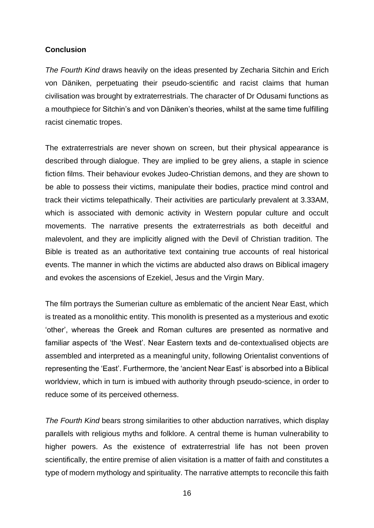# **Conclusion**

*The Fourth Kind* draws heavily on the ideas presented by Zecharia Sitchin and Erich von Däniken, perpetuating their pseudo-scientific and racist claims that human civilisation was brought by extraterrestrials. The character of Dr Odusami functions as a mouthpiece for Sitchin's and von Däniken's theories, whilst at the same time fulfilling racist cinematic tropes.

The extraterrestrials are never shown on screen, but their physical appearance is described through dialogue. They are implied to be grey aliens, a staple in science fiction films. Their behaviour evokes Judeo-Christian demons, and they are shown to be able to possess their victims, manipulate their bodies, practice mind control and track their victims telepathically. Their activities are particularly prevalent at 3.33AM, which is associated with demonic activity in Western popular culture and occult movements. The narrative presents the extraterrestrials as both deceitful and malevolent, and they are implicitly aligned with the Devil of Christian tradition. The Bible is treated as an authoritative text containing true accounts of real historical events. The manner in which the victims are abducted also draws on Biblical imagery and evokes the ascensions of Ezekiel, Jesus and the Virgin Mary.

The film portrays the Sumerian culture as emblematic of the ancient Near East, which is treated as a monolithic entity. This monolith is presented as a mysterious and exotic 'other', whereas the Greek and Roman cultures are presented as normative and familiar aspects of 'the West'. Near Eastern texts and de-contextualised objects are assembled and interpreted as a meaningful unity, following Orientalist conventions of representing the 'East'. Furthermore, the 'ancient Near East' is absorbed into a Biblical worldview, which in turn is imbued with authority through pseudo-science, in order to reduce some of its perceived otherness.

*The Fourth Kind* bears strong similarities to other abduction narratives, which display parallels with religious myths and folklore. A central theme is human vulnerability to higher powers. As the existence of extraterrestrial life has not been proven scientifically, the entire premise of alien visitation is a matter of faith and constitutes a type of modern mythology and spirituality. The narrative attempts to reconcile this faith

16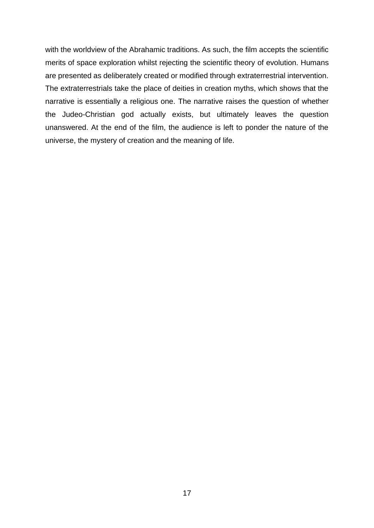with the worldview of the Abrahamic traditions. As such, the film accepts the scientific merits of space exploration whilst rejecting the scientific theory of evolution. Humans are presented as deliberately created or modified through extraterrestrial intervention. The extraterrestrials take the place of deities in creation myths, which shows that the narrative is essentially a religious one. The narrative raises the question of whether the Judeo-Christian god actually exists, but ultimately leaves the question unanswered. At the end of the film, the audience is left to ponder the nature of the universe, the mystery of creation and the meaning of life.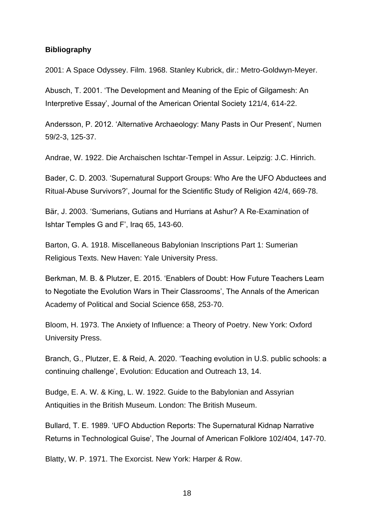#### **Bibliography**

2001: A Space Odyssey. Film. 1968. Stanley Kubrick, dir.: Metro-Goldwyn-Meyer.

Abusch, T. 2001. 'The Development and Meaning of the Epic of Gilgamesh: An Interpretive Essay', Journal of the American Oriental Society 121/4, 614-22.

Andersson, P. 2012. 'Alternative Archaeology: Many Pasts in Our Present', Numen 59/2-3, 125-37.

Andrae, W. 1922. Die Archaischen Ischtar-Tempel in Assur. Leipzig: J.C. Hinrich.

Bader, C. D. 2003. 'Supernatural Support Groups: Who Are the UFO Abductees and Ritual-Abuse Survivors?', Journal for the Scientific Study of Religion 42/4, 669-78.

Bär, J. 2003. 'Sumerians, Gutians and Hurrians at Ashur? A Re-Examination of Ishtar Temples G and F', Iraq 65, 143-60.

Barton, G. A. 1918. Miscellaneous Babylonian Inscriptions Part 1: Sumerian Religious Texts. New Haven: Yale University Press.

Berkman, M. B. & Plutzer, E. 2015. 'Enablers of Doubt: How Future Teachers Learn to Negotiate the Evolution Wars in Their Classrooms', The Annals of the American Academy of Political and Social Science 658, 253-70.

Bloom, H. 1973. The Anxiety of Influence: a Theory of Poetry. New York: Oxford University Press.

Branch, G., Plutzer, E. & Reid, A. 2020. 'Teaching evolution in U.S. public schools: a continuing challenge', Evolution: Education and Outreach 13, 14.

Budge, E. A. W. & King, L. W. 1922. Guide to the Babylonian and Assyrian Antiquities in the British Museum. London: The British Museum.

Bullard, T. E. 1989. 'UFO Abduction Reports: The Supernatural Kidnap Narrative Returns in Technological Guise', The Journal of American Folklore 102/404, 147-70.

Blatty, W. P. 1971. The Exorcist. New York: Harper & Row.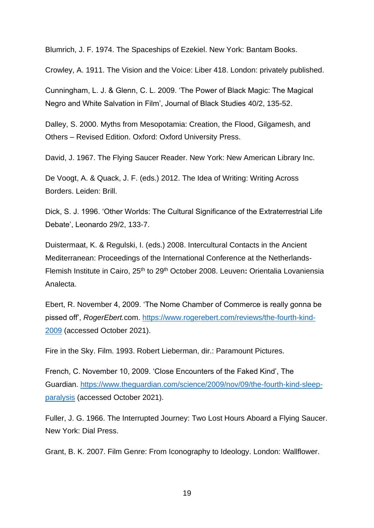Blumrich, J. F. 1974. The Spaceships of Ezekiel. New York: Bantam Books.

Crowley, A. 1911. The Vision and the Voice: Liber 418. London: privately published.

Cunningham, L. J. & Glenn, C. L. 2009. 'The Power of Black Magic: The Magical Negro and White Salvation in Film', Journal of Black Studies 40/2, 135-52.

Dalley, S. 2000. Myths from Mesopotamia: Creation, the Flood, Gilgamesh, and Others – Revised Edition. Oxford: Oxford University Press.

David, J. 1967. The Flying Saucer Reader. New York: New American Library Inc.

De Voogt, A. & Quack, J. F. (eds.) 2012. The Idea of Writing: Writing Across Borders. Leiden: Brill.

Dick, S. J. 1996. 'Other Worlds: The Cultural Significance of the Extraterrestrial Life Debate', Leonardo 29/2, 133-7.

Duistermaat, K. & Regulski, I. (eds.) 2008. Intercultural Contacts in the Ancient Mediterranean: Proceedings of the International Conference at the Netherlands-Flemish Institute in Cairo, 25th to 29th October 2008. Leuven**:** Orientalia Lovaniensia Analecta.

Ebert, R. November 4, 2009. 'The Nome Chamber of Commerce is really gonna be pissed off', *RogerEbert.*com. [https://www.rogerebert.com/reviews/the-fourth-kind-](about:blank)[2009](about:blank) (accessed October 2021).

Fire in the Sky. Film. 1993. Robert Lieberman, dir.: Paramount Pictures.

French, C. November 10, 2009. 'Close Encounters of the Faked Kind', The Guardian. [https://www.theguardian.com/science/2009/nov/09/the-fourth-kind-sleep](about:blank)[paralysis](about:blank) (accessed October 2021).

Fuller, J. G. 1966. The Interrupted Journey: Two Lost Hours Aboard a Flying Saucer. New York: Dial Press.

Grant, B. K. 2007. Film Genre: From Iconography to Ideology. London: Wallflower.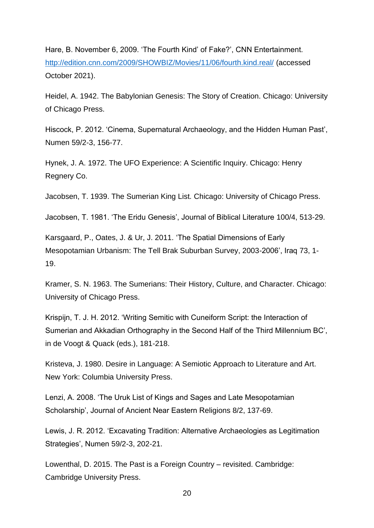Hare, B. November 6, 2009. 'The Fourth Kind' of Fake?', CNN Entertainment. [http://edition.cnn.com/2009/SHOWBIZ/Movies/11/06/fourth.kind.real/](about:blank) (accessed October 2021).

Heidel, A. 1942. The Babylonian Genesis: The Story of Creation. Chicago: University of Chicago Press.

Hiscock, P. 2012. 'Cinema, Supernatural Archaeology, and the Hidden Human Past', Numen 59/2-3, 156-77.

Hynek, J. A. 1972. The UFO Experience: A Scientific Inquiry. Chicago: Henry Regnery Co.

Jacobsen, T. 1939. The Sumerian King List*.* Chicago: University of Chicago Press.

Jacobsen, T. 1981. 'The Eridu Genesis', Journal of Biblical Literature 100/4, 513-29.

Karsgaard, P., Oates, J. & Ur, J. 2011. 'The Spatial Dimensions of Early Mesopotamian Urbanism: The Tell Brak Suburban Survey, 2003-2006', Iraq 73, 1- 19.

Kramer, S. N. 1963. The Sumerians: Their History, Culture, and Character. Chicago: University of Chicago Press.

Krispijn, T. J. H. 2012. 'Writing Semitic with Cuneiform Script: the Interaction of Sumerian and Akkadian Orthography in the Second Half of the Third Millennium BC', in de Voogt & Quack (eds.), 181-218.

Kristeva, J. 1980. Desire in Language: A Semiotic Approach to Literature and Art. New York: Columbia University Press.

Lenzi, A. 2008. 'The Uruk List of Kings and Sages and Late Mesopotamian Scholarship', Journal of Ancient Near Eastern Religions 8/2, 137-69.

Lewis, J. R. 2012. 'Excavating Tradition: Alternative Archaeologies as Legitimation Strategies', Numen 59/2-3, 202-21.

Lowenthal, D. 2015. The Past is a Foreign Country – revisited. Cambridge: Cambridge University Press.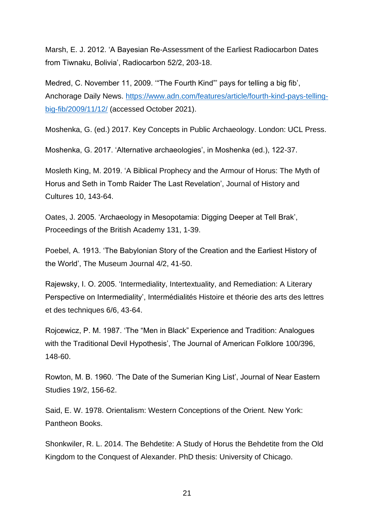Marsh, E. J. 2012. 'A Bayesian Re-Assessment of the Earliest Radiocarbon Dates from Tiwnaku, Bolivia', Radiocarbon 52/2, 203-18.

Medred, C. November 11, 2009. '"The Fourth Kind"' pays for telling a big fib', Anchorage Daily News. [https://www.adn.com/features/article/fourth-kind-pays-telling](about:blank)[big-fib/2009/11/12/](about:blank) (accessed October 2021).

Moshenka, G. (ed.) 2017. Key Concepts in Public Archaeology. London: UCL Press.

Moshenka, G. 2017. 'Alternative archaeologies', in Moshenka (ed.), 122-37.

Mosleth King, M. 2019. 'A Biblical Prophecy and the Armour of Horus: The Myth of Horus and Seth in Tomb Raider The Last Revelation', Journal of History and Cultures 10, 143-64.

Oates, J. 2005. 'Archaeology in Mesopotamia: Digging Deeper at Tell Brak', Proceedings of the British Academy 131, 1-39.

Poebel, A. 1913. 'The Babylonian Story of the Creation and the Earliest History of the World', The Museum Journal 4/2, 41-50.

Rajewsky, I. O. 2005. 'Intermediality, Intertextuality, and Remediation: A Literary Perspective on Intermediality', Intermédialités Histoire et théorie des arts des lettres et des techniques 6/6, 43-64.

Rojcewicz, P. M. 1987. 'The "Men in Black" Experience and Tradition: Analogues with the Traditional Devil Hypothesis', The Journal of American Folklore 100/396, 148-60.

Rowton, M. B. 1960. 'The Date of the Sumerian King List', Journal of Near Eastern Studies 19/2, 156-62.

Said, E. W. 1978. Orientalism: Western Conceptions of the Orient. New York: Pantheon Books.

Shonkwiler, R. L. 2014. The Behdetite: A Study of Horus the Behdetite from the Old Kingdom to the Conquest of Alexander. PhD thesis: University of Chicago.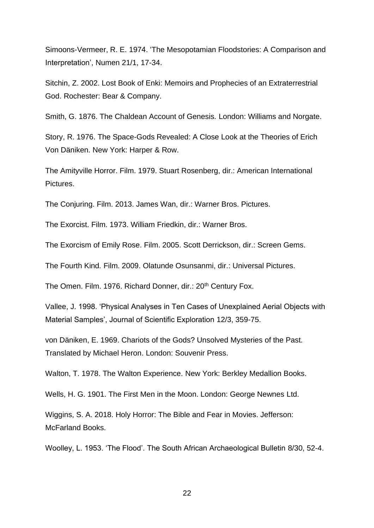Simoons-Vermeer, R. E. 1974. 'The Mesopotamian Floodstories: A Comparison and Interpretation', Numen 21/1, 17-34.

Sitchin, Z. 2002. Lost Book of Enki: Memoirs and Prophecies of an Extraterrestrial God. Rochester: Bear & Company.

Smith, G. 1876. The Chaldean Account of Genesis*.* London: Williams and Norgate.

Story, R. 1976. The Space-Gods Revealed: A Close Look at the Theories of Erich Von Däniken. New York: Harper & Row.

The Amityville Horror. Film. 1979. Stuart Rosenberg, dir.: American International Pictures.

The Conjuring. Film. 2013. James Wan, dir.: Warner Bros. Pictures.

The Exorcist. Film. 1973. William Friedkin, dir.: Warner Bros.

The Exorcism of Emily Rose. Film. 2005. Scott Derrickson, dir.: Screen Gems.

The Fourth Kind*.* Film. 2009. Olatunde Osunsanmi, dir.: Universal Pictures.

The Omen. Film. 1976. Richard Donner, dir.: 20<sup>th</sup> Century Fox.

Vallee, J. 1998. 'Physical Analyses in Ten Cases of Unexplained Aerial Objects with Material Samples', Journal of Scientific Exploration 12/3, 359-75.

von Däniken, E. 1969. Chariots of the Gods? Unsolved Mysteries of the Past*.*  Translated by Michael Heron. London: Souvenir Press.

Walton, T. 1978. The Walton Experience. New York: Berkley Medallion Books.

Wells, H. G. 1901. The First Men in the Moon. London: George Newnes Ltd.

Wiggins, S. A. 2018. Holy Horror: The Bible and Fear in Movies. Jefferson: McFarland Books.

Woolley, L. 1953. 'The Flood'. The South African Archaeological Bulletin 8/30, 52-4.